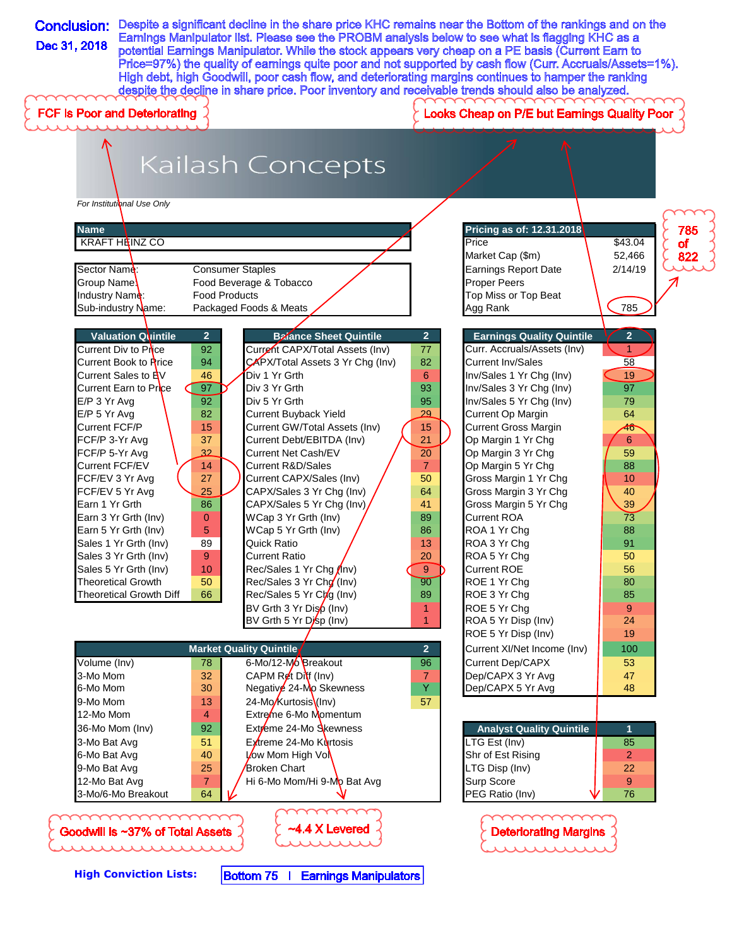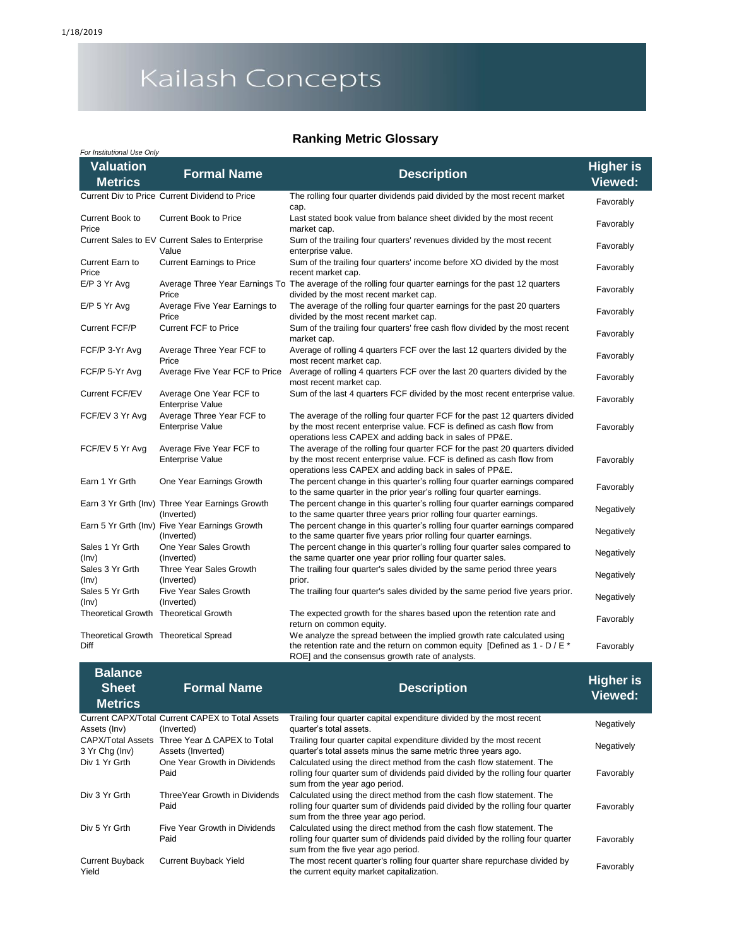# Kailash Concepts

### **Ranking Metric Glossary**

| For Institutional Use Only         |                                                               |                                                                                                                                                                                                                  |                                    |
|------------------------------------|---------------------------------------------------------------|------------------------------------------------------------------------------------------------------------------------------------------------------------------------------------------------------------------|------------------------------------|
| <b>Valuation</b><br><b>Metrics</b> | <b>Formal Name</b>                                            | <b>Description</b>                                                                                                                                                                                               | <b>Higher is</b><br><b>Viewed:</b> |
|                                    | Current Div to Price Current Dividend to Price                | The rolling four quarter dividends paid divided by the most recent market<br>cap.                                                                                                                                | Favorably                          |
| Current Book to<br>Price           | <b>Current Book to Price</b>                                  | Last stated book value from balance sheet divided by the most recent<br>market cap.                                                                                                                              | Favorably                          |
|                                    | Current Sales to EV Current Sales to Enterprise<br>Value      | Sum of the trailing four quarters' revenues divided by the most recent<br>enterprise value.                                                                                                                      | Favorably                          |
| Current Earn to<br>Price           | <b>Current Earnings to Price</b>                              | Sum of the trailing four quarters' income before XO divided by the most<br>recent market cap.                                                                                                                    | Favorably                          |
| $E/P$ 3 Yr Avg                     | Price                                                         | Average Three Year Earnings To The average of the rolling four quarter earnings for the past 12 quarters<br>divided by the most recent market cap.                                                               | Favorably                          |
| $E/P$ 5 Yr Avg                     | Average Five Year Earnings to<br>Price                        | The average of the rolling four quarter earnings for the past 20 quarters<br>divided by the most recent market cap.                                                                                              | Favorably                          |
| Current FCF/P                      | Current FCF to Price                                          | Sum of the trailing four quarters' free cash flow divided by the most recent<br>market cap.                                                                                                                      | Favorably                          |
| FCF/P 3-Yr Avg                     | Average Three Year FCF to<br>Price                            | Average of rolling 4 quarters FCF over the last 12 quarters divided by the<br>most recent market cap.                                                                                                            | Favorably                          |
| FCF/P 5-Yr Avg                     | Average Five Year FCF to Price                                | Average of rolling 4 quarters FCF over the last 20 quarters divided by the<br>most recent market cap.                                                                                                            | Favorably                          |
| <b>Current FCF/EV</b>              | Average One Year FCF to<br><b>Enterprise Value</b>            | Sum of the last 4 quarters FCF divided by the most recent enterprise value.                                                                                                                                      | Favorably                          |
| FCF/EV 3 Yr Avg                    | Average Three Year FCF to<br><b>Enterprise Value</b>          | The average of the rolling four quarter FCF for the past 12 quarters divided<br>by the most recent enterprise value. FCF is defined as cash flow from<br>operations less CAPEX and adding back in sales of PP&E. | Favorably                          |
| FCF/EV 5 Yr Avg                    | Average Five Year FCF to<br><b>Enterprise Value</b>           | The average of the rolling four quarter FCF for the past 20 quarters divided<br>by the most recent enterprise value. FCF is defined as cash flow from<br>operations less CAPEX and adding back in sales of PP&E. | Favorably                          |
| Earn 1 Yr Grth                     | One Year Earnings Growth                                      | The percent change in this quarter's rolling four quarter earnings compared<br>to the same quarter in the prior year's rolling four quarter earnings.                                                            | Favorably                          |
|                                    | Earn 3 Yr Grth (Inv) Three Year Earnings Growth<br>(Inverted) | The percent change in this quarter's rolling four quarter earnings compared<br>to the same quarter three years prior rolling four quarter earnings.                                                              | Negatively                         |
|                                    | Earn 5 Yr Grth (Inv) Five Year Earnings Growth<br>(Inverted)  | The percent change in this quarter's rolling four quarter earnings compared<br>to the same quarter five years prior rolling four quarter earnings.                                                               | Negatively                         |
| Sales 1 Yr Grth<br>(Inv)           | One Year Sales Growth<br>(Inverted)                           | The percent change in this quarter's rolling four quarter sales compared to<br>the same quarter one year prior rolling four quarter sales.                                                                       | Negatively                         |
| Sales 3 Yr Grth<br>(Inv)           | Three Year Sales Growth<br>(Inverted)                         | The trailing four quarter's sales divided by the same period three years<br>prior.                                                                                                                               | Negatively                         |
| Sales 5 Yr Grth<br>(Inv)           | Five Year Sales Growth<br>(Inverted)                          | The trailing four quarter's sales divided by the same period five years prior.                                                                                                                                   | Negatively                         |
|                                    | Theoretical Growth Theoretical Growth                         | The expected growth for the shares based upon the retention rate and<br>return on common equity.                                                                                                                 | Favorably                          |
| Diff                               | Theoretical Growth Theoretical Spread                         | We analyze the spread between the implied growth rate calculated using<br>the retention rate and the return on common equity [Defined as $1 - D / E^*$<br>ROE] and the consensus growth rate of analysts.        | Favorably                          |

| <b>Balance</b><br><b>Sheet</b><br><b>Metrics</b> | <b>Formal Name</b>                                             | <b>Description</b>                                                                                                                                                                            | <b>Higher is</b><br>Viewed: |
|--------------------------------------------------|----------------------------------------------------------------|-----------------------------------------------------------------------------------------------------------------------------------------------------------------------------------------------|-----------------------------|
| Assets (Inv)                                     | Current CAPX/Total Current CAPEX to Total Assets<br>(Inverted) | Trailing four quarter capital expenditure divided by the most recent<br>quarter's total assets.                                                                                               | Negatively                  |
| CAPX/Total Assets<br>3 Yr Chg (Inv)              | Three Year A CAPEX to Total<br>Assets (Inverted)               | Trailing four quarter capital expenditure divided by the most recent<br>quarter's total assets minus the same metric three years ago.                                                         | Negatively                  |
| Div 1 Yr Grth                                    | One Year Growth in Dividends<br>Paid                           | Calculated using the direct method from the cash flow statement. The<br>rolling four quarter sum of dividends paid divided by the rolling four quarter<br>sum from the year ago period.       | Favorably                   |
| Div 3 Yr Grth                                    | Three Year Growth in Dividends<br>Paid                         | Calculated using the direct method from the cash flow statement. The<br>rolling four quarter sum of dividends paid divided by the rolling four quarter<br>sum from the three year ago period. | Favorably                   |
| Div 5 Yr Grth                                    | Five Year Growth in Dividends<br>Paid                          | Calculated using the direct method from the cash flow statement. The<br>rolling four quarter sum of dividends paid divided by the rolling four quarter<br>sum from the five year ago period.  | Favorably                   |
| <b>Current Buyback</b><br>Yield                  | <b>Current Buyback Yield</b>                                   | The most recent quarter's rolling four quarter share repurchase divided by<br>the current equity market capitalization.                                                                       | Favorably                   |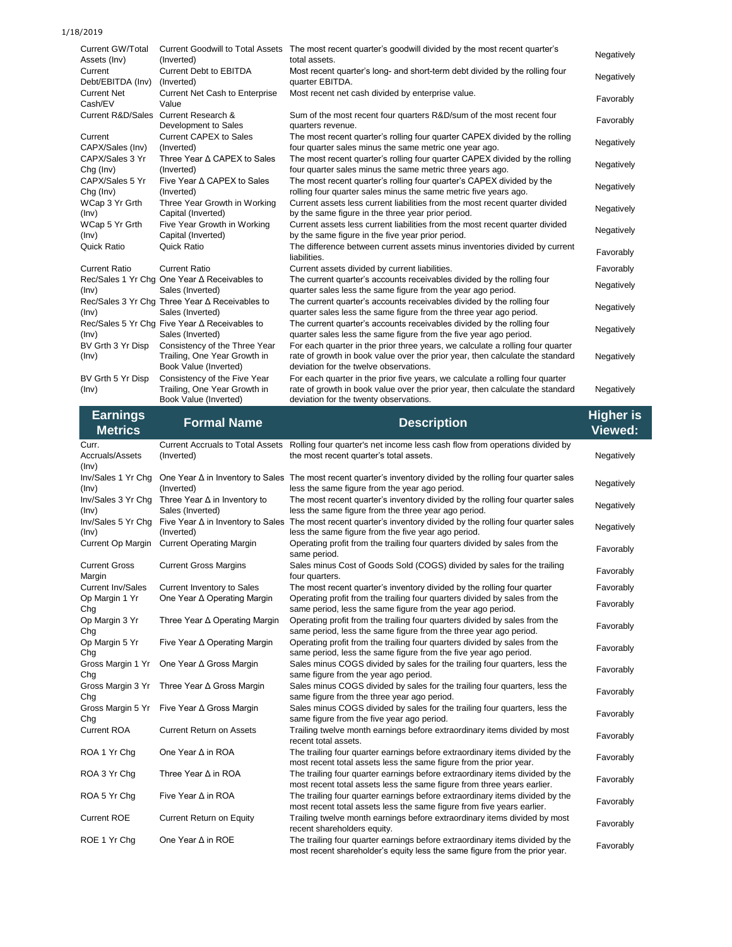#### 1/18/2019

| <b>Current GW/Total</b><br>Assets (Inv) | <b>Current Goodwill to Total Assets</b><br>(Inverted)                                  | The most recent quarter's goodwill divided by the most recent quarter's<br>total assets.                                                                                                                  | Negatively |
|-----------------------------------------|----------------------------------------------------------------------------------------|-----------------------------------------------------------------------------------------------------------------------------------------------------------------------------------------------------------|------------|
| Current<br>Debt/EBITDA (Inv)            | <b>Current Debt to EBITDA</b><br>(Inverted)                                            | Most recent quarter's long- and short-term debt divided by the rolling four<br>quarter EBITDA.                                                                                                            | Negatively |
| <b>Current Net</b><br>Cash/EV           | <b>Current Net Cash to Enterprise</b><br>Value                                         | Most recent net cash divided by enterprise value.                                                                                                                                                         | Favorably  |
|                                         | Current R&D/Sales Current Research &<br>Development to Sales                           | Sum of the most recent four quarters R&D/sum of the most recent four<br>quarters revenue.                                                                                                                 | Favorably  |
| Current<br>CAPX/Sales (Inv)             | <b>Current CAPEX to Sales</b><br>(Inverted)                                            | The most recent quarter's rolling four quarter CAPEX divided by the rolling<br>four quarter sales minus the same metric one year ago.                                                                     | Negatively |
| CAPX/Sales 3 Yr<br>Chg (Inv)            | Three Year ∆ CAPEX to Sales<br>(Inverted)                                              | The most recent quarter's rolling four quarter CAPEX divided by the rolling<br>four quarter sales minus the same metric three years ago.                                                                  | Negatively |
| CAPX/Sales 5 Yr<br>$Chg$ (Inv)          | Five Year ∆ CAPEX to Sales<br>(Inverted)                                               | The most recent quarter's rolling four quarter's CAPEX divided by the<br>rolling four quarter sales minus the same metric five years ago.                                                                 | Negatively |
| WCap 3 Yr Grth<br>(Inv)                 | Three Year Growth in Working<br>Capital (Inverted)                                     | Current assets less current liabilities from the most recent quarter divided<br>by the same figure in the three year prior period.                                                                        | Negatively |
| WCap 5 Yr Grth<br>(Inv)                 | Five Year Growth in Working<br>Capital (Inverted)                                      | Current assets less current liabilities from the most recent quarter divided<br>by the same figure in the five year prior period.                                                                         | Negatively |
| Quick Ratio                             | Quick Ratio                                                                            | The difference between current assets minus inventories divided by current<br>liabilities.                                                                                                                | Favorably  |
| <b>Current Ratio</b>                    | <b>Current Ratio</b>                                                                   | Current assets divided by current liabilities.                                                                                                                                                            | Favorably  |
| (Inv)                                   | Rec/Sales 1 Yr Chq One Year ∆ Receivables to<br>Sales (Inverted)                       | The current quarter's accounts receivables divided by the rolling four<br>quarter sales less the same figure from the year ago period.                                                                    | Negatively |
| (Inv)                                   | Rec/Sales 3 Yr Chq Three Year ∆ Receivables to<br>Sales (Inverted)                     | The current quarter's accounts receivables divided by the rolling four<br>quarter sales less the same figure from the three year ago period.                                                              | Negatively |
| (Inv)                                   | Rec/Sales 5 Yr Chq Five Year ∆ Receivables to<br>Sales (Inverted)                      | The current quarter's accounts receivables divided by the rolling four<br>quarter sales less the same figure from the five year ago period.                                                               | Negatively |
| BV Grth 3 Yr Disp<br>(Inv)              | Consistency of the Three Year<br>Trailing, One Year Growth in<br>Book Value (Inverted) | For each quarter in the prior three years, we calculate a rolling four quarter<br>rate of growth in book value over the prior year, then calculate the standard<br>deviation for the twelve observations. | Negatively |
| BV Grth 5 Yr Disp<br>(lnv)              | Consistency of the Five Year<br>Trailing, One Year Growth in<br>Book Value (Inverted)  | For each quarter in the prior five years, we calculate a rolling four quarter<br>rate of growth in book value over the prior year, then calculate the standard<br>deviation for the twenty observations.  | Negatively |

| <b>Earnings</b><br><b>Metrics</b> | <b>Formal Name</b>                                      | <b>Description</b>                                                                                                                                                            | <b>Higher is</b><br><b>Viewed:</b> |
|-----------------------------------|---------------------------------------------------------|-------------------------------------------------------------------------------------------------------------------------------------------------------------------------------|------------------------------------|
| Curr.<br>Accruals/Assets<br>(Inv) | (Inverted)                                              | Current Accruals to Total Assets Rolling four quarter's net income less cash flow from operations divided by<br>the most recent quarter's total assets.                       | Negatively                         |
| Inv/Sales 1 Yr Chg<br>(Inv)       | (Inverted)                                              | One Year $\Delta$ in Inventory to Sales The most recent quarter's inventory divided by the rolling four quarter sales<br>less the same figure from the year ago period.       | Negatively                         |
| Inv/Sales 3 Yr Chq<br>(Inv)       | Three Year $\Delta$ in Inventory to<br>Sales (Inverted) | The most recent quarter's inventory divided by the rolling four quarter sales<br>less the same figure from the three year ago period.                                         | Negatively                         |
| Inv/Sales 5 Yr Chg<br>$(\ln v)$   | (Inverted)                                              | Five Year $\Delta$ in Inventory to Sales The most recent quarter's inventory divided by the rolling four quarter sales<br>less the same figure from the five year ago period. | Negatively                         |
| Current Op Margin                 | <b>Current Operating Margin</b>                         | Operating profit from the trailing four quarters divided by sales from the<br>same period.                                                                                    | Favorably                          |
| <b>Current Gross</b><br>Margin    | <b>Current Gross Margins</b>                            | Sales minus Cost of Goods Sold (COGS) divided by sales for the trailing<br>four quarters.                                                                                     | Favorably                          |
| <b>Current Inv/Sales</b>          | Current Inventory to Sales                              | The most recent quarter's inventory divided by the rolling four quarter                                                                                                       | Favorably                          |
| Op Margin 1 Yr<br>Chg             | One Year ∆ Operating Margin                             | Operating profit from the trailing four quarters divided by sales from the<br>same period, less the same figure from the year ago period.                                     | Favorably                          |
| Op Margin 3 Yr<br>Chg             | Three Year ∆ Operating Margin                           | Operating profit from the trailing four quarters divided by sales from the<br>same period, less the same figure from the three year ago period.                               | Favorably                          |
| Op Margin 5 Yr<br>Chq             | Five Year ∆ Operating Margin                            | Operating profit from the trailing four quarters divided by sales from the<br>same period, less the same figure from the five year ago period.                                | Favorably                          |
| Gross Margin 1 Yr<br>Cha          | One Year ∆ Gross Margin                                 | Sales minus COGS divided by sales for the trailing four quarters, less the<br>same figure from the year ago period.                                                           | Favorably                          |
| Gross Margin 3 Yr<br>Chg          | Three Year ∆ Gross Margin                               | Sales minus COGS divided by sales for the trailing four quarters, less the<br>same figure from the three year ago period.                                                     | Favorably                          |
| Gross Margin 5 Yr<br>Chg          | Five Year ∆ Gross Margin                                | Sales minus COGS divided by sales for the trailing four quarters, less the<br>same figure from the five year ago period.                                                      | Favorably                          |
| <b>Current ROA</b>                | <b>Current Return on Assets</b>                         | Trailing twelve month earnings before extraordinary items divided by most<br>recent total assets.                                                                             | Favorably                          |
| ROA 1 Yr Chg                      | One Year ∆ in ROA                                       | The trailing four quarter earnings before extraordinary items divided by the<br>most recent total assets less the same figure from the prior year.                            | Favorably                          |
| ROA 3 Yr Chg                      | Three Year $\Delta$ in ROA                              | The trailing four quarter earnings before extraordinary items divided by the<br>most recent total assets less the same figure from three years earlier.                       | Favorably                          |
| ROA 5 Yr Chg                      | Five Year ∆ in ROA                                      | The trailing four quarter earnings before extraordinary items divided by the<br>most recent total assets less the same figure from five years earlier.                        | Favorably                          |
| <b>Current ROE</b>                | Current Return on Equity                                | Trailing twelve month earnings before extraordinary items divided by most<br>recent shareholders equity.                                                                      | Favorably                          |
| ROE 1 Yr Chg                      | One Year ∆ in ROE                                       | The trailing four quarter earnings before extraordinary items divided by the<br>most recent shareholder's equity less the same figure from the prior year.                    | Favorably                          |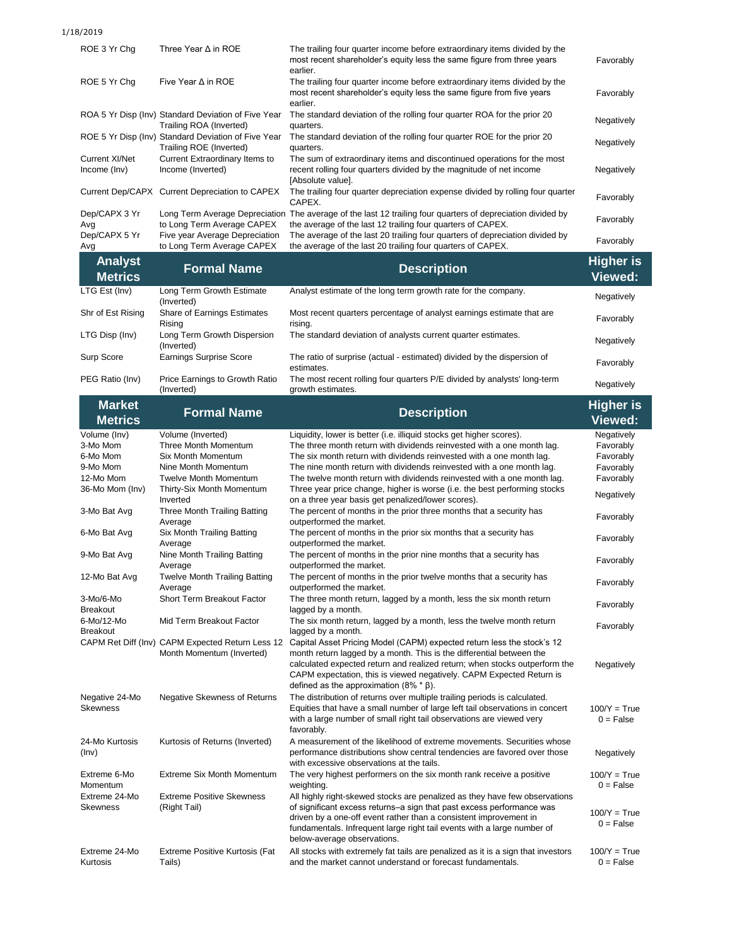1/18/2019

| ROE 3 Yr Chg                     | Three Year $\Delta$ in ROE                                                     | The trailing four quarter income before extraordinary items divided by the<br>most recent shareholder's equity less the same figure from three years<br>earlier.    | Favorably                   |
|----------------------------------|--------------------------------------------------------------------------------|---------------------------------------------------------------------------------------------------------------------------------------------------------------------|-----------------------------|
| ROE 5 Yr Cha                     | Five Year $\Delta$ in ROE                                                      | The trailing four quarter income before extraordinary items divided by the<br>most recent shareholder's equity less the same figure from five years<br>earlier.     | Favorably                   |
|                                  | ROA 5 Yr Disp (Inv) Standard Deviation of Five Year<br>Trailing ROA (Inverted) | The standard deviation of the rolling four quarter ROA for the prior 20<br>quarters.                                                                                | Negatively                  |
|                                  | ROE 5 Yr Disp (Inv) Standard Deviation of Five Year<br>Trailing ROE (Inverted) | The standard deviation of the rolling four quarter ROE for the prior 20<br>quarters.                                                                                | Negatively                  |
| Current XI/Net<br>Income (Inv)   | Current Extraordinary Items to<br>Income (Inverted)                            | The sum of extraordinary items and discontinued operations for the most<br>recent rolling four quarters divided by the magnitude of net income<br>[Absolute value]. | Negatively                  |
|                                  | Current Dep/CAPX Current Depreciation to CAPEX                                 | The trailing four quarter depreciation expense divided by rolling four quarter<br>CAPEX.                                                                            | Favorably                   |
| Dep/CAPX 3 Yr<br>Avg             | Long Term Average Depreciation<br>to Long Term Average CAPEX                   | The average of the last 12 trailing four quarters of depreciation divided by<br>the average of the last 12 trailing four quarters of CAPEX.                         | Favorably                   |
| Dep/CAPX 5 Yr<br>Avg             | Five year Average Depreciation<br>to Long Term Average CAPEX                   | The average of the last 20 trailing four quarters of depreciation divided by<br>the average of the last 20 trailing four quarters of CAPEX.                         | Favorably                   |
| <b>Analyst</b><br><b>Metrics</b> | <b>Formal Name</b>                                                             | <b>Description</b>                                                                                                                                                  | <b>Higher is</b><br>Viewed: |
| LTG Est (Inv)                    | Long Term Growth Estimate<br>المستسمين                                         | Analyst estimate of the long term growth rate for the company.                                                                                                      | Negatively                  |

|                   | (Inverted)                                   |                                                                                               | Negatively |
|-------------------|----------------------------------------------|-----------------------------------------------------------------------------------------------|------------|
| Shr of Est Rising | <b>Share of Earnings Estimates</b><br>Risina | Most recent quarters percentage of analyst earnings estimate that are<br>risina.              | Favorably  |
| LTG Disp (Inv)    | Long Term Growth Dispersion<br>(Inverted)    | The standard deviation of analysts current quarter estimates.                                 | Negatively |
| Surp Score        | <b>Earnings Surprise Score</b>               | The ratio of surprise (actual - estimated) divided by the dispersion of<br>estimates.         | Favorably  |
| PEG Ratio (Inv)   | Price Earnings to Growth Ratio<br>(Inverted) | The most recent rolling four quarters P/E divided by analysts' long-term<br>growth estimates. | Negatively |

| <b>Market</b><br><b>Metrics</b>   | <b>Formal Name</b>                                                            | <b>Description</b>                                                                                                                                                                                                                                                                                                                                      | <b>Higher is</b><br><b>Viewed:</b> |
|-----------------------------------|-------------------------------------------------------------------------------|---------------------------------------------------------------------------------------------------------------------------------------------------------------------------------------------------------------------------------------------------------------------------------------------------------------------------------------------------------|------------------------------------|
| Volume (Inv)                      | Volume (Inverted)                                                             | Liquidity, lower is better (i.e. illiquid stocks get higher scores).                                                                                                                                                                                                                                                                                    | Negatively                         |
| 3-Mo Mom                          | <b>Three Month Momentum</b>                                                   | The three month return with dividends reinvested with a one month lag.                                                                                                                                                                                                                                                                                  | Favorably                          |
| 6-Mo Mom                          | Six Month Momentum                                                            | The six month return with dividends reinvested with a one month lag.                                                                                                                                                                                                                                                                                    | Favorably                          |
| 9-Mo Mom                          | Nine Month Momentum                                                           | The nine month return with dividends reinvested with a one month lag.                                                                                                                                                                                                                                                                                   | Favorably                          |
| 12-Mo Mom                         | <b>Twelve Month Momentum</b>                                                  | The twelve month return with dividends reinvested with a one month lag.                                                                                                                                                                                                                                                                                 | Favorably                          |
| 36-Mo Mom (Inv)                   | Thirty-Six Month Momentum<br>Inverted                                         | Three year price change, higher is worse (i.e. the best performing stocks<br>on a three year basis get penalized/lower scores).                                                                                                                                                                                                                         | Negatively                         |
| 3-Mo Bat Avg                      | <b>Three Month Trailing Batting</b><br>Average                                | The percent of months in the prior three months that a security has<br>outperformed the market.                                                                                                                                                                                                                                                         | Favorably                          |
| 6-Mo Bat Avg                      | Six Month Trailing Batting<br>Average                                         | The percent of months in the prior six months that a security has<br>outperformed the market.                                                                                                                                                                                                                                                           | Favorably                          |
| 9-Mo Bat Avg                      | Nine Month Trailing Batting<br>Average                                        | The percent of months in the prior nine months that a security has<br>outperformed the market.                                                                                                                                                                                                                                                          | Favorably                          |
| 12-Mo Bat Avg                     | <b>Twelve Month Trailing Batting</b><br>Average                               | The percent of months in the prior twelve months that a security has<br>outperformed the market.                                                                                                                                                                                                                                                        | Favorably                          |
| 3-Mo/6-Mo<br><b>Breakout</b>      | Short Term Breakout Factor                                                    | The three month return, lagged by a month, less the six month return<br>lagged by a month.                                                                                                                                                                                                                                                              | Favorably                          |
| 6-Mo/12-Mo<br><b>Breakout</b>     | Mid Term Breakout Factor                                                      | The six month return, lagged by a month, less the twelve month return<br>lagged by a month.                                                                                                                                                                                                                                                             | Favorably                          |
|                                   | CAPM Ret Diff (Inv) CAPM Expected Return Less 12<br>Month Momentum (Inverted) | Capital Asset Pricing Model (CAPM) expected return less the stock's 12<br>month return lagged by a month. This is the differential between the<br>calculated expected return and realized return; when stocks outperform the<br>CAPM expectation, this is viewed negatively. CAPM Expected Return is<br>defined as the approximation (8% $*$ $\beta$ ). | Negatively                         |
| Negative 24-Mo<br><b>Skewness</b> | Negative Skewness of Returns                                                  | The distribution of returns over multiple trailing periods is calculated.<br>Equities that have a small number of large left tail observations in concert<br>with a large number of small right tail observations are viewed very<br>favorably.                                                                                                         | $100/Y = True$<br>$0 = False$      |
| 24-Mo Kurtosis<br>(Inv)           | Kurtosis of Returns (Inverted)                                                | A measurement of the likelihood of extreme movements. Securities whose<br>performance distributions show central tendencies are favored over those<br>with excessive observations at the tails.                                                                                                                                                         | Negatively                         |
| Extreme 6-Mo<br>Momentum          | <b>Extreme Six Month Momentum</b>                                             | The very highest performers on the six month rank receive a positive<br>weighting.                                                                                                                                                                                                                                                                      | $100/Y = True$<br>$0 = False$      |
| Extreme 24-Mo<br><b>Skewness</b>  | <b>Extreme Positive Skewness</b><br>(Right Tail)                              | All highly right-skewed stocks are penalized as they have few observations<br>of significant excess returns-a sign that past excess performance was<br>driven by a one-off event rather than a consistent improvement in<br>fundamentals. Infrequent large right tail events with a large number of<br>below-average observations.                      | $100/Y = True$<br>$0 = False$      |
| Extreme 24-Mo<br>Kurtosis         | <b>Extreme Positive Kurtosis (Fat</b><br>Tails)                               | All stocks with extremely fat tails are penalized as it is a sign that investors<br>and the market cannot understand or forecast fundamentals.                                                                                                                                                                                                          | $100/Y = True$<br>$0 = False$      |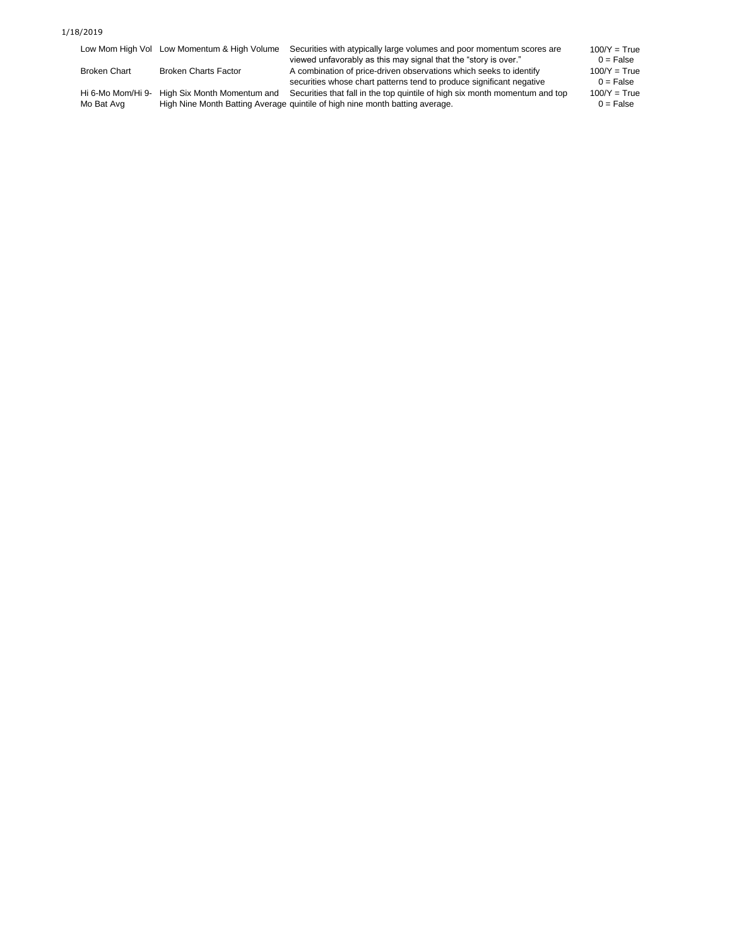#### 1/18/2019

|                                 | Low Mom High Vol Low Momentum & High Volume | Securities with atypically large volumes and poor momentum scores are<br>viewed unfavorably as this may signal that the "story is over."                    | $100/Y = True$<br>$0 = False$ |
|---------------------------------|---------------------------------------------|-------------------------------------------------------------------------------------------------------------------------------------------------------------|-------------------------------|
| <b>Broken Chart</b>             | <b>Broken Charts Factor</b>                 | A combination of price-driven observations which seeks to identify<br>securities whose chart patterns tend to produce significant negative                  | $100/Y = True$<br>$0 = False$ |
| Hi 6-Mo Mom/Hi 9-<br>Mo Bat Avg | High Six Month Momentum and                 | Securities that fall in the top quintile of high six month momentum and top<br>High Nine Month Batting Average quintile of high nine month batting average. | $100/Y = True$<br>$0 = False$ |